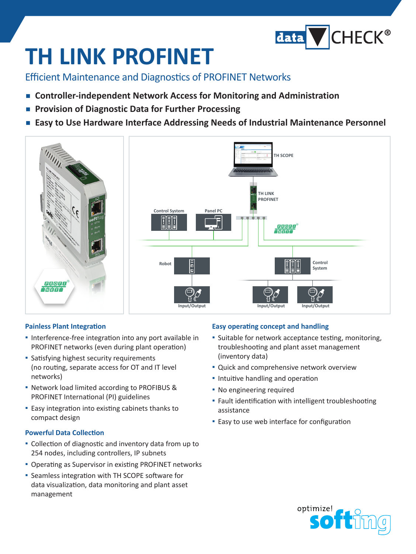

# **TH LINK PROFINET**

Efficient Maintenance and Diagnostics of PROFINET Networks

- **Controller-independent Network Access for Monitoring and Administration**
- Provision of Diagnostic Data for Further Processing
- Easy to Use Hardware Interface Addressing Needs of Industrial Maintenance Personnel



### **Painless Plant Integration**

- **▪** Interference-free integration into any port available in PROFINET networks (even during plant operation)
- **▪** Satisfying highest security requirements (no routing, separate access for OT and IT level networks)
- **▪** Network load limited according to PROFIBUS & PROFINET International (PI) guidelines
- **▪** Easy integration into existing cabinets thanks to compact design

### **Powerful Data Collection**

- **▪** Collection of diagnostic and inventory data from up to 254 nodes, including controllers, IP subnets
- **▪** Operating as Supervisor in existing PROFINET networks
- **▪** Seamless integration with TH SCOPE software for data visualization, data monitoring and plant asset management

### **Easy operating concept and handling**

- **▪** Suitable for network acceptance testing, monitoring, troubleshooting and plant asset management (inventory data)
- **▪** Quick and comprehensive network overview
- **▪** Intuitive handling and operation
- **▪** No engineering required
- **▪** Fault identification with intelligent troubleshooting assistance
- **▪** Easy to use web interface for configuration